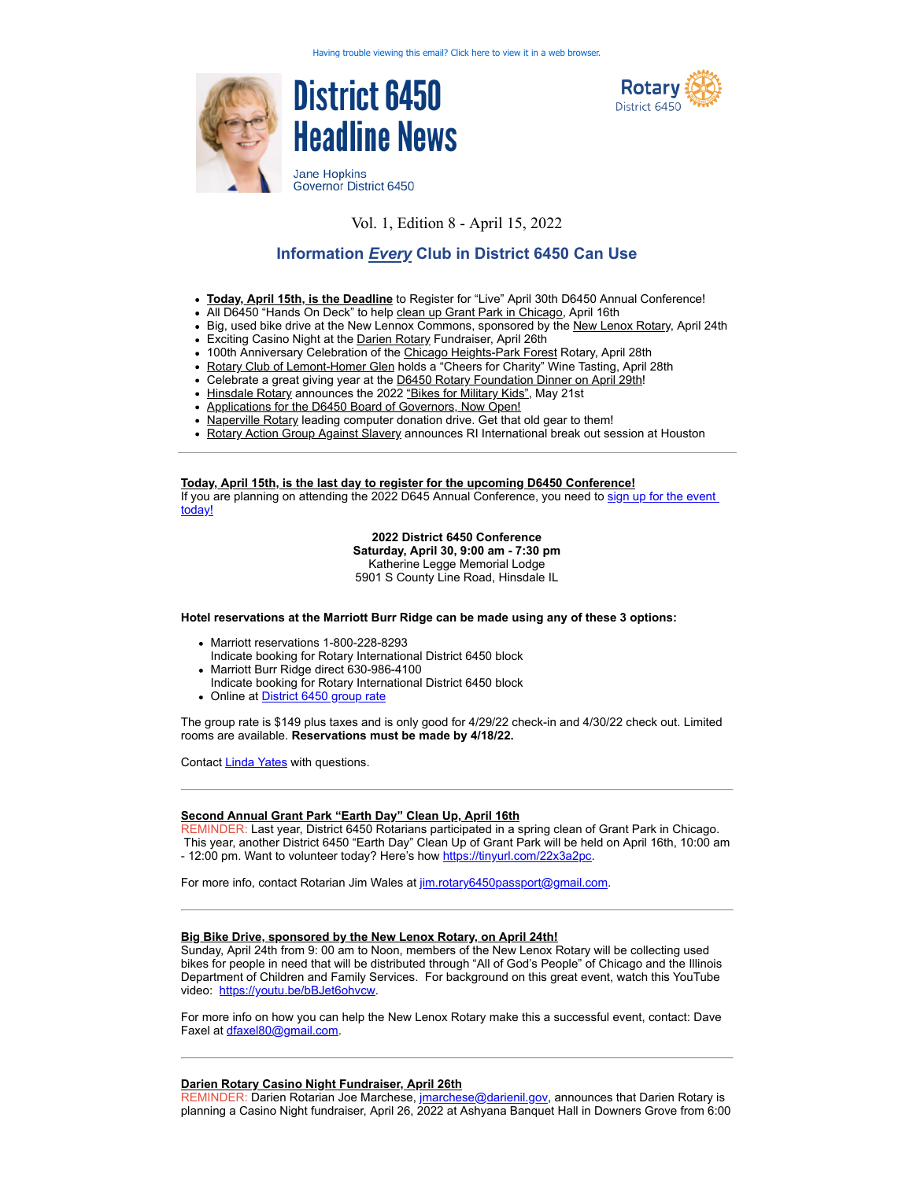



Governor District 6450

# Vol. 1, Edition 8 - April 15, 2022

# **Information** *Every* **Club in District 6450 Can Use**

- **Today, April 15th, is the Deadline** to Register for "Live" April 30th D6450 Annual Conference!
- All D6450 "Hands On Deck" to help clean up Grant Park in Chicago, April 16th
- Big, used bike drive at the New Lennox Commons, sponsored by the New Lenox Rotary, April 24th
- Exciting Casino Night at the Darien Rotary Fundraiser, April 26th
- 100th Anniversary Celebration of the Chicago Heights-Park Forest Rotary, April 28th
- Rotary Club of Lemont-Homer Glen holds a "Cheers for Charity" Wine Tasting, April 28th
- Celebrate a great giving year at the D6450 Rotary Foundation Dinner on April 29th!
- Hinsdale Rotary announces the 2022 "Bikes for Military Kids", May 21st
- Applications for the D6450 Board of Governors, Now Open!
- Naperville Rotary leading computer donation drive. Get that old gear to them!
- Rotary Action Group Against Slavery announces RI International break out session at Houston

**Today, April 15th, is the last day to register for the upcoming D6450 Conference!** [If you are planning on attending the 2022 D645 Annual Conference, you need to sign up for the event](https://registrations.dacdb.com/Register/index.cfm?EventID=77582071&NoCaptcha) today!

**2022 District 6450 Conference**

**Saturday, April 30, 9:00 am - 7:30 pm** Katherine Legge Memorial Lodge

5901 S County Line Road, Hinsdale IL

**Hotel reservations at the Marriott Burr Ridge can be made using any of these 3 options:**

- Marriott reservations 1-800-228-8293
	- Indicate booking for Rotary International District 6450 block
- Marriott Burr Ridge direct 630-986-4100
- Indicate booking for Rotary International District 6450 block
- Online at [District 6450 group rate](https://www.marriott.com/event-reservations/reservation-link.mi?id=1644958134245&key=GRP&app=resvlink)

The group rate is \$149 plus taxes and is only good for 4/29/22 check-in and 4/30/22 check out. Limited rooms are available. **Reservations must be made by 4/18/22.**

Contact **Linda Yates** with questions.

#### **Second Annual Grant Park "Earth Day" Clean Up, April 16th**

REMINDER: Last year, District 6450 Rotarians participated in a spring clean of Grant Park in Chicago. This year, another District 6450 "Earth Day" Clean Up of Grant Park will be held on April 16th, 10:00 am - 12:00 pm. Want to volunteer today? Here's how [https://tinyurl.com/22x3a2pc.](https://tinyurl.com/22x3a2pc)

For more info, contact Rotarian Jim Wales at [jim.rotary6450passport@gmail.com.](mailto:jim.rotary6450passport@gmail.com)

## **Big Bike Drive, sponsored by the New Lenox Rotary, on April 24th!**

Sunday, April 24th from 9: 00 am to Noon, members of the New Lenox Rotary will be collecting used bikes for people in need that will be distributed through "All of God's People" of Chicago and the Illinois Department of Children and Family Services. For background on this great event, watch this YouTube video: [https://youtu.be/bBJet6ohvcw.](https://youtu.be/bBJet6ohvcw)

For more info on how you can help the New Lenox Rotary make this a successful event, contact: Dave Faxel at [dfaxel80@gmail.com.](mailto:dfaxel80@gmail.com)

#### **Darien Rotary Casino Night Fundraiser, April 26th**

REMINDER: Darien Rotarian Joe Marchese, [jmarchese@darienil.gov](mailto:jmarchese@darienil.gov), announces that Darien Rotary is planning a Casino Night fundraiser, April 26, 2022 at Ashyana Banquet Hall in Downers Grove from 6:00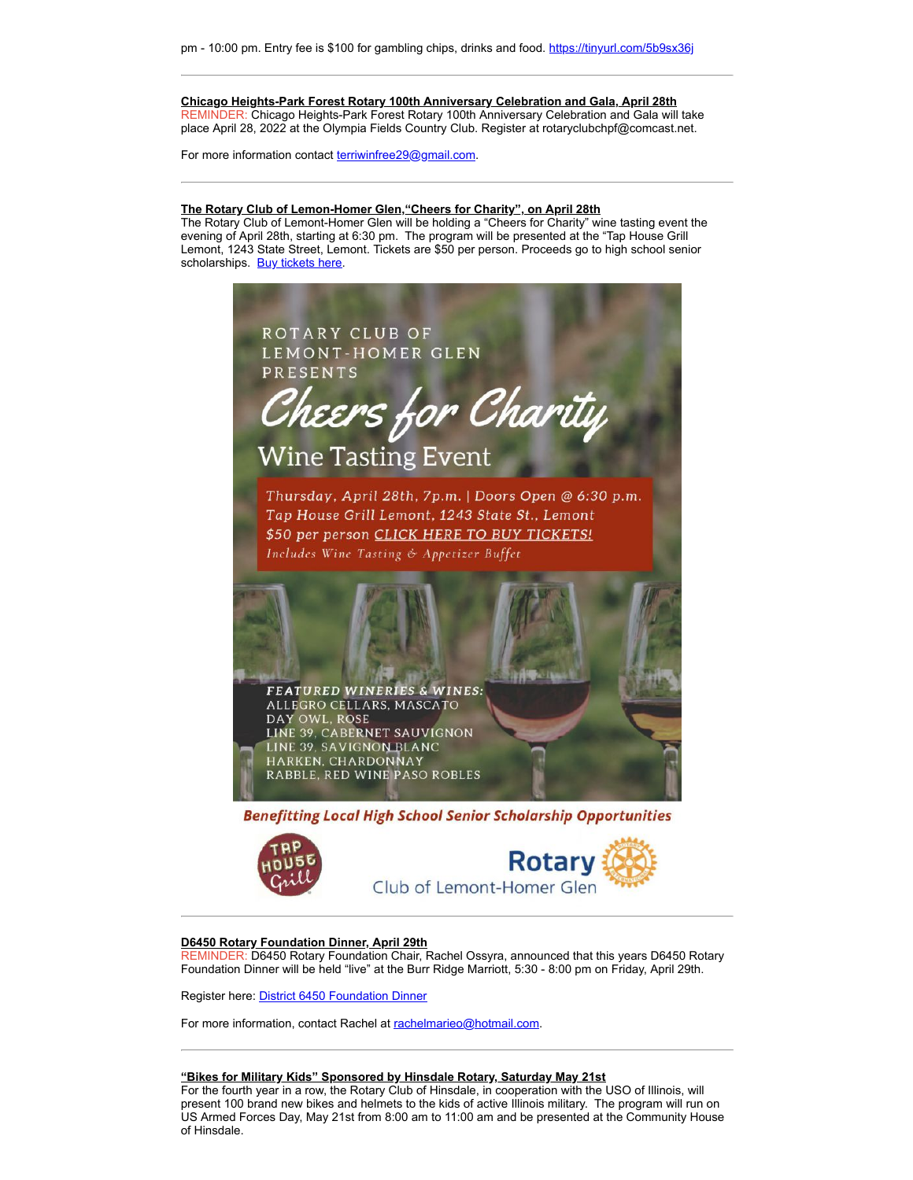**Chicago Heights-Park Forest Rotary 100th Anniversary Celebration and Gala, April 28th** REMINDER: Chicago Heights-Park Forest Rotary 100th Anniversary Celebration and Gala will take place April 28, 2022 at the Olympia Fields Country Club. Register at rotaryclubchpf@comcast.net.

For more information contact [terriwinfree29@gmail.com](mailto:terriwinfree29@gmail.com).

#### **The Rotary Club of Lemon-Homer Glen,"Cheers for Charity", on April 28th**

The Rotary Club of Lemont-Homer Glen will be holding a "Cheers for Charity" wine tasting event the evening of April 28th, starting at 6:30 pm. The program will be presented at the "Tap House Grill Lemont, 1243 State Street, Lemont. Tickets are \$50 per person. Proceeds go to high school senior scholarships. [Buy tickets here.](https://www.eventbrite.com/e/spring-2022-wine-tasting-tickets-307640008547?aff=erelexpmlt)



**Benefitting Local High School Senior Scholarship Opportunities** 





#### **D6450 Rotary Foundation Dinner, April 29th**

REMINDER: D6450 Rotary Foundation Chair, Rachel Ossyra, announced that this years D6450 Rotary Foundation Dinner will be held "live" at the Burr Ridge Marriott, 5:30 - 8:00 pm on Friday, April 29th.

Register here: [District 6450 Foundation Dinner](https://www.ismyrotaryclub.org/wp_api_prod_1-1/R_Event.cfm?EventID=77582074&fixTables=0&fixImages=0)

For more information, contact Rachel at [rachelmarieo@hotmail.com.](mailto:rachelmarieo@hotmail.com)

#### **"Bikes for Military Kids" Sponsored by Hinsdale Rotary, Saturday May 21st**

For the fourth year in a row, the Rotary Club of Hinsdale, in cooperation with the USO of Illinois, will present 100 brand new bikes and helmets to the kids of active Illinois military. The program will run on US Armed Forces Day, May 21st from 8:00 am to 11:00 am and be presented at the Community House of Hinsdale.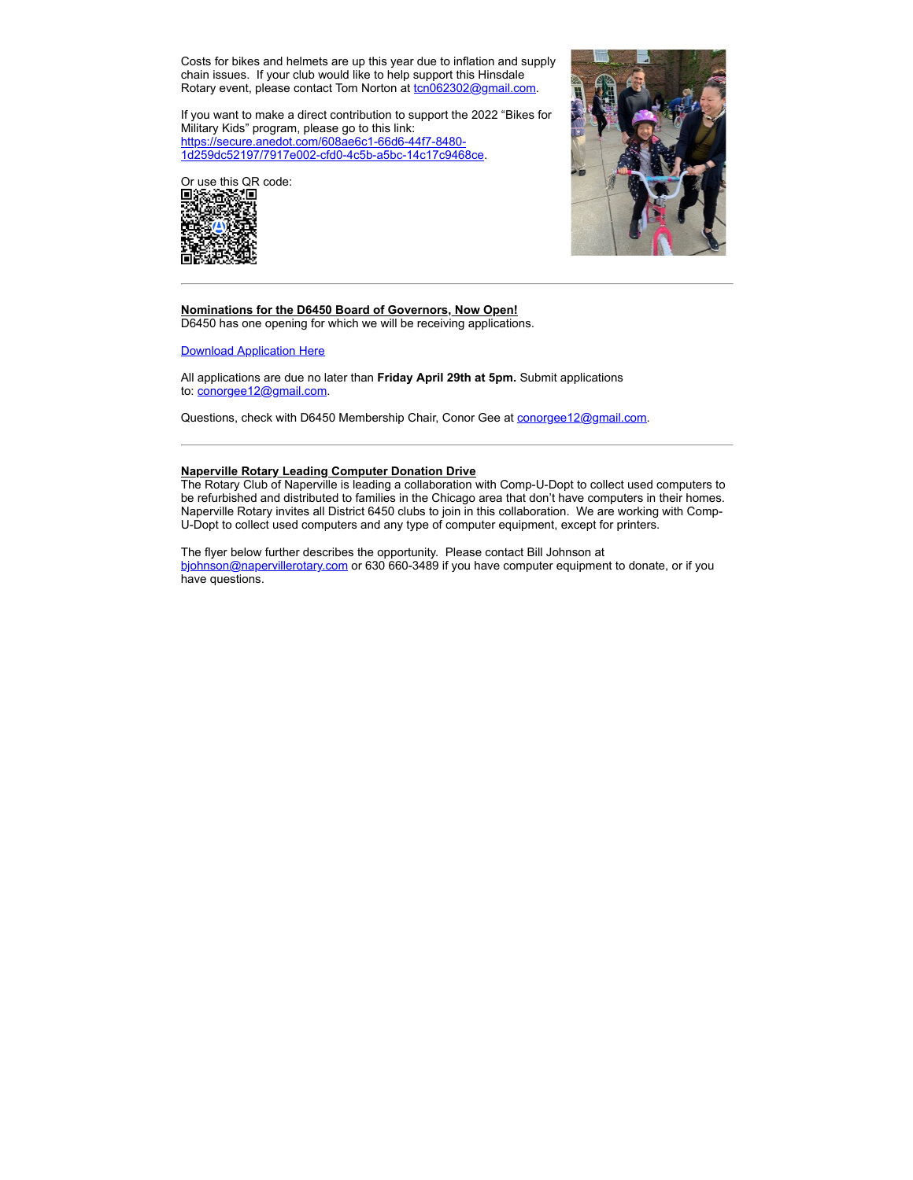Costs for bikes and helmets are up this year due to inflation and supply chain issues. If your club would like to help support this Hinsdale Rotary event, please contact Tom Norton at [tcn062302@gmail.com.](mailto:tcn062302@gmail.com)

If you want to make a direct contribution to support the 2022 "Bikes for Military Kids" program, please go to this link: https://secure.anedot.com/608ae6c1-66d6-44f7-8480- [1d259dc52197/7917e002-cfd0-4c5b-a5bc-14c17c9468ce.](https://secure.anedot.com/608ae6c1-66d6-44f7-8480-1d259dc52197/7917e002-cfd0-4c5b-a5bc-14c17c9468ce)





#### **Nominations for the D6450 Board of Governors, Now Open!** D6450 has one opening for which we will be receiving applications.

[Download Application Here](https://district6450.org/wp-content/uploads/2022/04/Board-of-Directors-Application.3.30.22.docx)

All applications are due no later than **Friday April 29th at 5pm.** Submit applications to: [conorgee12@gmail.com](mailto:conorgee12@gmail.com).

Questions, check with D6450 Membership Chair, Conor Gee at [conorgee12@gmail.com.](mailto:conorgee12@gmail.com)

#### **Naperville Rotary Leading Computer Donation Drive**

The Rotary Club of Naperville is leading a collaboration with Comp-U-Dopt to collect used computers to be refurbished and distributed to families in the Chicago area that don't have computers in their homes. Naperville Rotary invites all District 6450 clubs to join in this collaboration. We are working with Comp-U-Dopt to collect used computers and any type of computer equipment, except for printers.

The flyer below further describes the opportunity. Please contact Bill Johnson at [bjohnson@napervillerotary.com](mailto:bjohnson@napervillerotary.com) or 630 660-3489 if you have computer equipment to donate, or if you have questions.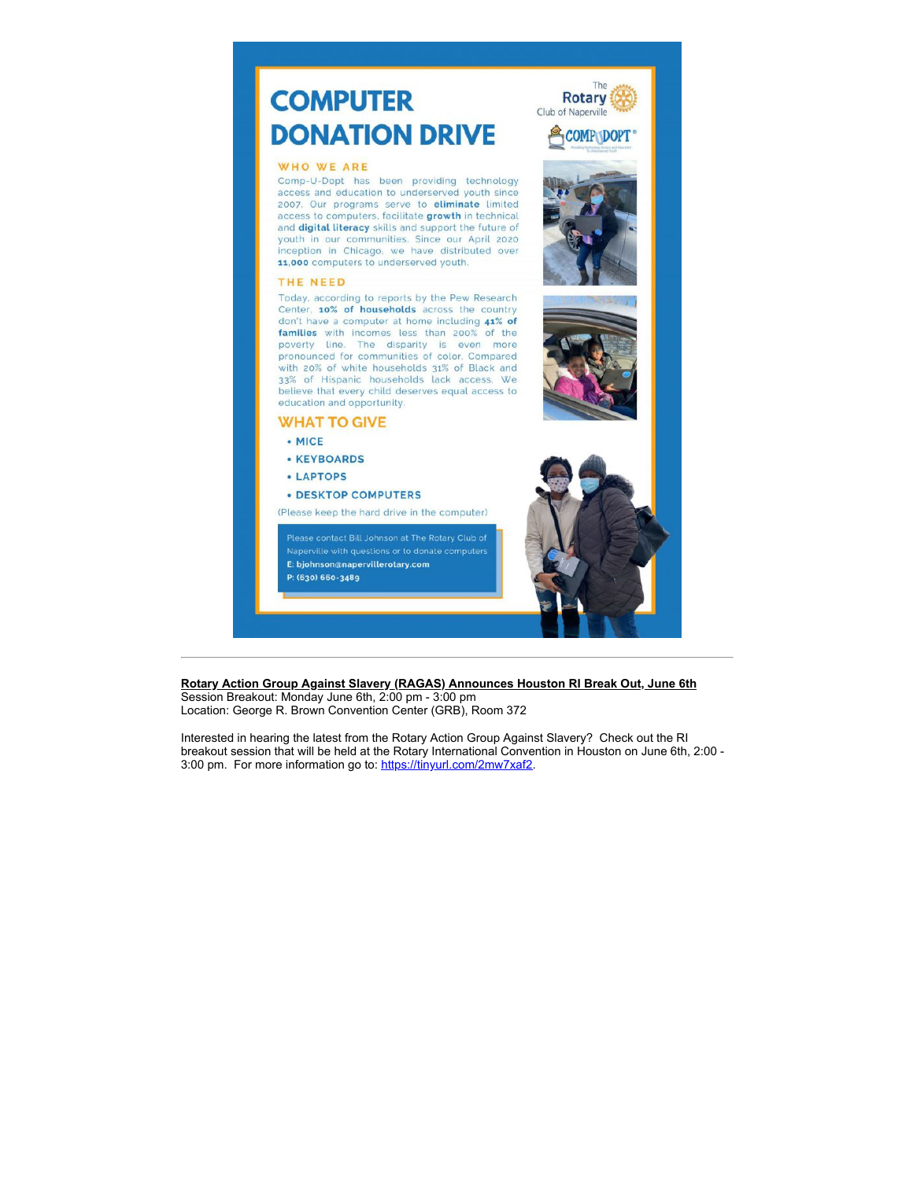# **COMPUTER DONATION DRIVE**

#### **WHO WE ARE**

Comp-U-Dopt has been providing technology access and education to underserved youth since 2007. Our programs serve to eliminate limited access to computers, facilitate growth in technical and digital literacy skills and support the future of youth in our communities. Since our April 2020 inception in Chicago, we have distributed over 11,000 computers to underserved youth.

#### THE NEED

Today, according to reports by the Pew Research Center, 10% of households across the country don't have a computer at home including 41% of families with incomes less than 200% of the poverty line. The disparity is even more pronounced for communities of color. Compared with 20% of white households 31% of Black and 33% of Hispanic households lack access. We believe that every child deserves equal access to education and opportunity.

### **WHAT TO GIVE**

- $\bullet$  MICE
- **KEYBOARDS**
- LAPTOPS
- **DESKTOP COMPUTERS**

(Please keep the hard drive in the computer)

E: bjohnson@napervillerotary.com P: (630) 660-3489



The

**COMP DOPT** 

Rotary Club of Naperville

Rotary Action Group Against Slavery (RAGAS) Announces Houston RI Break Out, June 6th Session Breakout: Monday June 6th, 2:00 pm - 3:00 pm

Location: George R. Brown Convention Center (GRB), Room 372

Interested in hearing the latest from the Rotary Action Group Against Slavery? Check out the RI breakout session that will be held at the Rotary International Convention in Houston on June 6th, 2:00 -3:00 pm. For more information go to: https://tinyurl.com/2mw7xaf2.